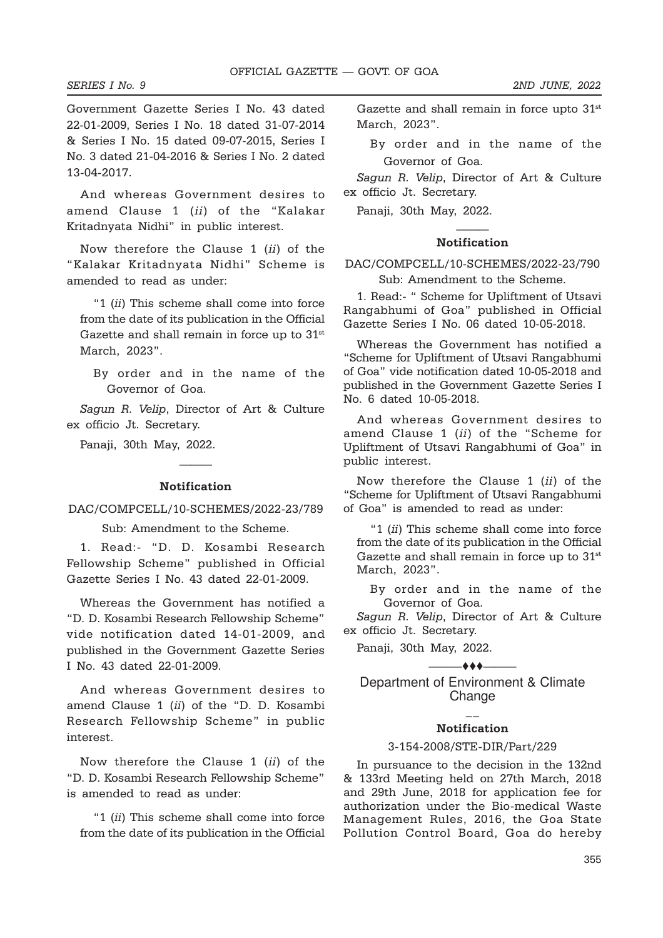Government Gazette Series I No. 43 dated 22-01-2009, Series I No. 18 dated 31-07-2014 & Series I No. 15 dated 09-07-2015, Series I No. 3 dated 21-04-2016 & Series I No. 2 dated 13-04-2017.

And whereas Government desires to amend Clause 1 (ii) of the "Kalakar Kritadnyata Nidhi" in public interest.

Now therefore the Clause 1 (ii) of the "Kalakar Kritadnyata Nidhi" Scheme is amended to read as under:

"1 (ii) This scheme shall come into force from the date of its publication in the Official Gazette and shall remain in force up to 31st March, 2023".

By order and in the name of the Governor of Goa.

Sagun R. Velip, Director of Art & Culture ex officio Jt. Secretary.

Panaji, 30th May, 2022.

# ——— Notification

### DAC/COMPCELL/10-SCHEMES/2022-23/789

Sub: Amendment to the Scheme.

1. Read:- "D. D. Kosambi Research Fellowship Scheme" published in Official Gazette Series I No. 43 dated 22-01-2009.

Whereas the Government has notified a "D. D. Kosambi Research Fellowship Scheme" vide notification dated 14-01-2009, and published in the Government Gazette Series I No. 43 dated 22-01-2009.

And whereas Government desires to amend Clause 1 (ii) of the "D. D. Kosambi Research Fellowship Scheme" in public interest.

Now therefore the Clause 1 (ii) of the "D. D. Kosambi Research Fellowship Scheme" is amended to read as under:

"1 (ii) This scheme shall come into force from the date of its publication in the Official Gazette and shall remain in force upto  $31<sup>st</sup>$ March, 2023".

By order and in the name of the Governor of Goa.

Sagun R. Velip, Director of Art & Culture ex officio Jt. Secretary.

Panaji, 30th May, 2022.

## ——— Notification

# DAC/COMPCELL/10-SCHEMES/2022-23/790

Sub: Amendment to the Scheme.

1. Read:- " Scheme for Upliftment of Utsavi Rangabhumi of Goa" published in Official Gazette Series I No. 06 dated 10-05-2018.

Whereas the Government has notified a "Scheme for Upliftment of Utsavi Rangabhumi of Goa" vide notification dated 10-05-2018 and published in the Government Gazette Series I No. 6 dated 10-05-2018.

And whereas Government desires to amend Clause 1 (ii) of the "Scheme for Upliftment of Utsavi Rangabhumi of Goa" in public interest.

Now therefore the Clause 1 (ii) of the "Scheme for Upliftment of Utsavi Rangabhumi of Goa" is amended to read as under:

"1 (ii) This scheme shall come into force from the date of its publication in the Official Gazette and shall remain in force up to 31<sup>st</sup> March, 2023".

By order and in the name of the Governor of Goa.

Sagun R. Velip, Director of Art & Culture ex officio Jt. Secretary.

Panaji, 30th May, 2022.

 $\longrightarrow$  to  $\longrightarrow$ 

Department of Environment & Climate Change

#### $\mathcal{L}$ **Notification**

#### 3-154-2008/STE-DIR/Part/229

In pursuance to the decision in the 132nd & 133rd Meeting held on 27th March, 2018 and 29th June, 2018 for application fee for authorization under the Bio-medical Waste Management Rules, 2016, the Goa State Pollution Control Board, Goa do hereby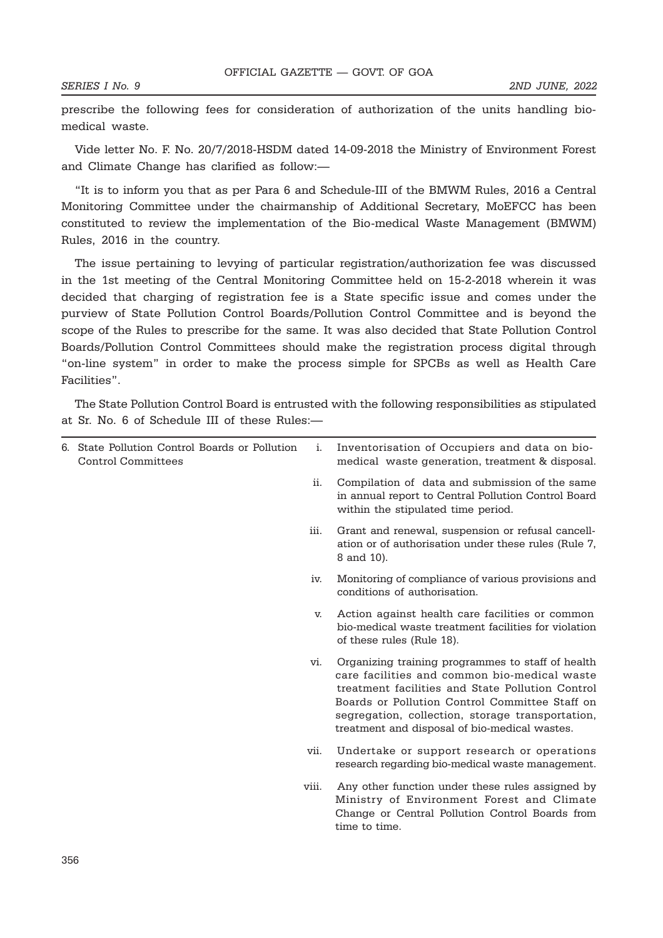prescribe the following fees for consideration of authorization of the units handling biomedical waste.

Vide letter No. F. No. 20/7/2018-HSDM dated 14-09-2018 the Ministry of Environment Forest and Climate Change has clarified as follow:—

"It is to inform you that as per Para 6 and Schedule-III of the BMWM Rules, 2016 a Central Monitoring Committee under the chairmanship of Additional Secretary, MoEFCC has been constituted to review the implementation of the Bio-medical Waste Management (BMWM) Rules, 2016 in the country.

The issue pertaining to levying of particular registration/authorization fee was discussed in the 1st meeting of the Central Monitoring Committee held on 15-2-2018 wherein it was decided that charging of registration fee is a State specific issue and comes under the purview of State Pollution Control Boards/Pollution Control Committee and is beyond the scope of the Rules to prescribe for the same. It was also decided that State Pollution Control Boards/Pollution Control Committees should make the registration process digital through "on-line system" in order to make the process simple for SPCBs as well as Health Care Facilities".

The State Pollution Control Board is entrusted with the following responsibilities as stipulated at Sr. No. 6 of Schedule III of these Rules:—

| 6. State Pollution Control Boards or Pollution<br><b>Control Committees</b> | i.    | Inventorisation of Occupiers and data on bio-<br>medical waste generation, treatment & disposal.                                                                                                                                                                                                             |
|-----------------------------------------------------------------------------|-------|--------------------------------------------------------------------------------------------------------------------------------------------------------------------------------------------------------------------------------------------------------------------------------------------------------------|
|                                                                             | ii.   | Compilation of data and submission of the same<br>in annual report to Central Pollution Control Board<br>within the stipulated time period.                                                                                                                                                                  |
|                                                                             | iii.  | Grant and renewal, suspension or refusal cancell-<br>ation or of authorisation under these rules (Rule 7,<br>8 and 10).                                                                                                                                                                                      |
|                                                                             | iv.   | Monitoring of compliance of various provisions and<br>conditions of authorisation.                                                                                                                                                                                                                           |
|                                                                             | v.    | Action against health care facilities or common<br>bio-medical waste treatment facilities for violation<br>of these rules (Rule 18).                                                                                                                                                                         |
|                                                                             | vi.   | Organizing training programmes to staff of health<br>care facilities and common bio-medical waste<br>treatment facilities and State Pollution Control<br>Boards or Pollution Control Committee Staff on<br>segregation, collection, storage transportation,<br>treatment and disposal of bio-medical wastes. |
|                                                                             | vii.  | Undertake or support research or operations<br>research regarding bio-medical waste management.                                                                                                                                                                                                              |
|                                                                             | viii. | Any other function under these rules assigned by<br>Ministry of Environment Forest and Climate<br>Change or Central Pollution Control Boards from<br>time to time.                                                                                                                                           |